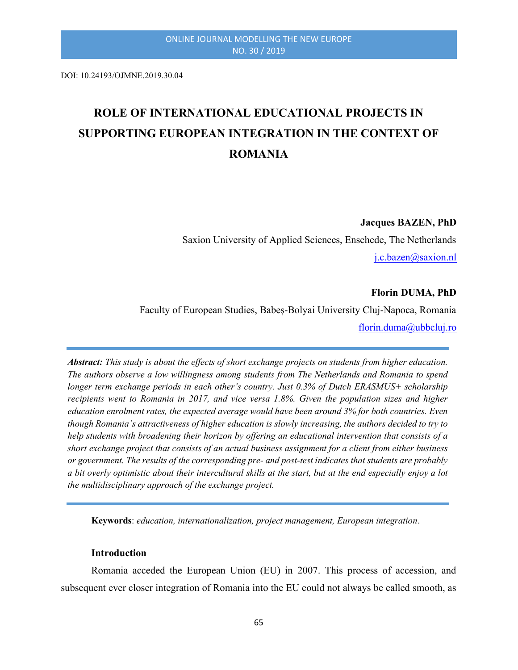DOI: 10.24193/OJMNE.2019.30.04

# ROLE OF INTERNATIONAL EDUCATIONAL PROJECTS IN SUPPORTING EUROPEAN INTEGRATION IN THE CONTEXT OF ROMANIA

Jacques BAZEN, PhD

Saxion University of Applied Sciences, Enschede, The Netherlands j.c.bazen@saxion.nl

# Florin DUMA, PhD

Faculty of European Studies, Babeș-Bolyai University Cluj-Napoca, Romania florin.duma@ubbcluj.ro

Abstract: This study is about the effects of short exchange projects on students from higher education. The authors observe a low willingness among students from The Netherlands and Romania to spend longer term exchange periods in each other's country. Just 0.3% of Dutch ERASMUS+ scholarship recipients went to Romania in 2017, and vice versa 1.8%. Given the population sizes and higher education enrolment rates, the expected average would have been around 3% for both countries. Even though Romania's attractiveness of higher education is slowly increasing, the authors decided to try to help students with broadening their horizon by offering an educational intervention that consists of a short exchange project that consists of an actual business assignment for a client from either business or government. The results of the corresponding pre- and post-test indicates that students are probably a bit overly optimistic about their intercultural skills at the start, but at the end especially enjoy a lot the multidisciplinary approach of the exchange project.

Keywords: education, internationalization, project management, European integration.

#### Introduction

Romania acceded the European Union (EU) in 2007. This process of accession, and subsequent ever closer integration of Romania into the EU could not always be called smooth, as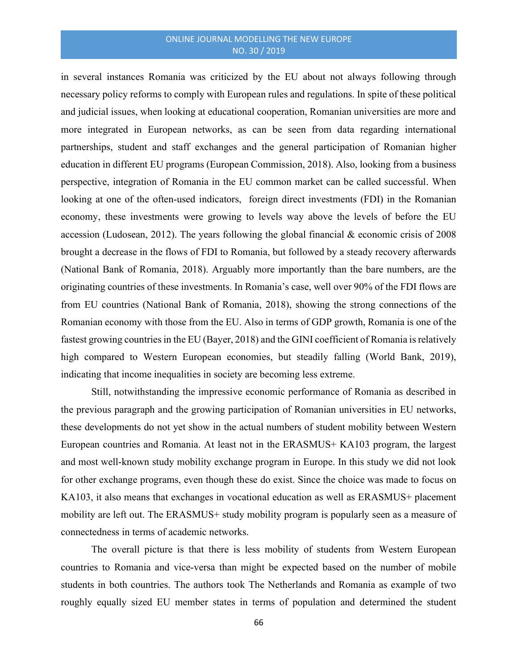in several instances Romania was criticized by the EU about not always following through necessary policy reforms to comply with European rules and regulations. In spite of these political and judicial issues, when looking at educational cooperation, Romanian universities are more and more integrated in European networks, as can be seen from data regarding international partnerships, student and staff exchanges and the general participation of Romanian higher education in different EU programs (European Commission, 2018). Also, looking from a business perspective, integration of Romania in the EU common market can be called successful. When looking at one of the often-used indicators, foreign direct investments (FDI) in the Romanian economy, these investments were growing to levels way above the levels of before the EU accession (Ludosean, 2012). The years following the global financial  $\&$  economic crisis of 2008 brought a decrease in the flows of FDI to Romania, but followed by a steady recovery afterwards (National Bank of Romania, 2018). Arguably more importantly than the bare numbers, are the originating countries of these investments. In Romania's case, well over 90% of the FDI flows are from EU countries (National Bank of Romania, 2018), showing the strong connections of the Romanian economy with those from the EU. Also in terms of GDP growth, Romania is one of the fastest growing countries in the EU (Bayer, 2018) and the GINI coefficient of Romania is relatively high compared to Western European economies, but steadily falling (World Bank, 2019), indicating that income inequalities in society are becoming less extreme.

Still, notwithstanding the impressive economic performance of Romania as described in the previous paragraph and the growing participation of Romanian universities in EU networks, these developments do not yet show in the actual numbers of student mobility between Western European countries and Romania. At least not in the ERASMUS+ KA103 program, the largest and most well-known study mobility exchange program in Europe. In this study we did not look for other exchange programs, even though these do exist. Since the choice was made to focus on KA103, it also means that exchanges in vocational education as well as ERASMUS+ placement mobility are left out. The ERASMUS+ study mobility program is popularly seen as a measure of connectedness in terms of academic networks.

The overall picture is that there is less mobility of students from Western European countries to Romania and vice-versa than might be expected based on the number of mobile students in both countries. The authors took The Netherlands and Romania as example of two roughly equally sized EU member states in terms of population and determined the student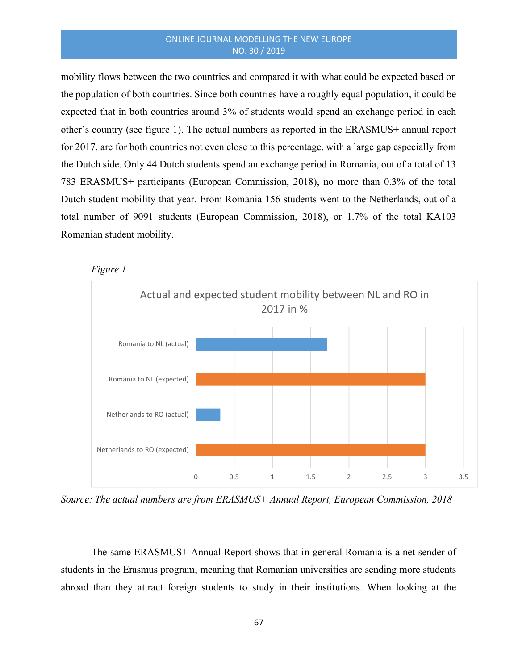mobility flows between the two countries and compared it with what could be expected based on the population of both countries. Since both countries have a roughly equal population, it could be expected that in both countries around 3% of students would spend an exchange period in each other's country (see figure 1). The actual numbers as reported in the ERASMUS+ annual report for 2017, are for both countries not even close to this percentage, with a large gap especially from the Dutch side. Only 44 Dutch students spend an exchange period in Romania, out of a total of 13 783 ERASMUS+ participants (European Commission, 2018), no more than 0.3% of the total Dutch student mobility that year. From Romania 156 students went to the Netherlands, out of a total number of 9091 students (European Commission, 2018), or 1.7% of the total KA103 Romanian student mobility.





Source: The actual numbers are from ERASMUS+ Annual Report, European Commission, 2018

The same ERASMUS+ Annual Report shows that in general Romania is a net sender of students in the Erasmus program, meaning that Romanian universities are sending more students abroad than they attract foreign students to study in their institutions. When looking at the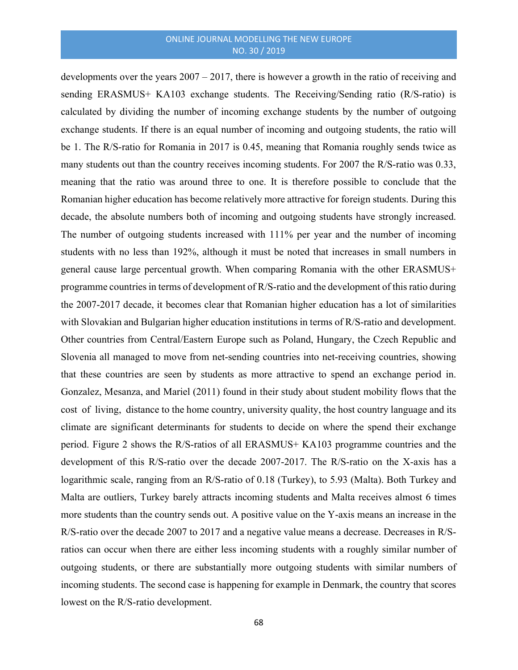developments over the years 2007 – 2017, there is however a growth in the ratio of receiving and sending ERASMUS+ KA103 exchange students. The Receiving/Sending ratio (R/S-ratio) is calculated by dividing the number of incoming exchange students by the number of outgoing exchange students. If there is an equal number of incoming and outgoing students, the ratio will be 1. The R/S-ratio for Romania in 2017 is 0.45, meaning that Romania roughly sends twice as many students out than the country receives incoming students. For 2007 the R/S-ratio was 0.33, meaning that the ratio was around three to one. It is therefore possible to conclude that the Romanian higher education has become relatively more attractive for foreign students. During this decade, the absolute numbers both of incoming and outgoing students have strongly increased. The number of outgoing students increased with 111% per year and the number of incoming students with no less than 192%, although it must be noted that increases in small numbers in general cause large percentual growth. When comparing Romania with the other ERASMUS+ programme countries in terms of development of R/S-ratio and the development of this ratio during the 2007-2017 decade, it becomes clear that Romanian higher education has a lot of similarities with Slovakian and Bulgarian higher education institutions in terms of R/S-ratio and development. Other countries from Central/Eastern Europe such as Poland, Hungary, the Czech Republic and Slovenia all managed to move from net-sending countries into net-receiving countries, showing that these countries are seen by students as more attractive to spend an exchange period in. Gonzalez, Mesanza, and Mariel (2011) found in their study about student mobility flows that the cost of living, distance to the home country, university quality, the host country language and its climate are significant determinants for students to decide on where the spend their exchange period. Figure 2 shows the R/S-ratios of all ERASMUS+ KA103 programme countries and the development of this R/S-ratio over the decade 2007-2017. The R/S-ratio on the X-axis has a logarithmic scale, ranging from an R/S-ratio of 0.18 (Turkey), to 5.93 (Malta). Both Turkey and Malta are outliers, Turkey barely attracts incoming students and Malta receives almost 6 times more students than the country sends out. A positive value on the Y-axis means an increase in the R/S-ratio over the decade 2007 to 2017 and a negative value means a decrease. Decreases in R/Sratios can occur when there are either less incoming students with a roughly similar number of outgoing students, or there are substantially more outgoing students with similar numbers of incoming students. The second case is happening for example in Denmark, the country that scores lowest on the R/S-ratio development.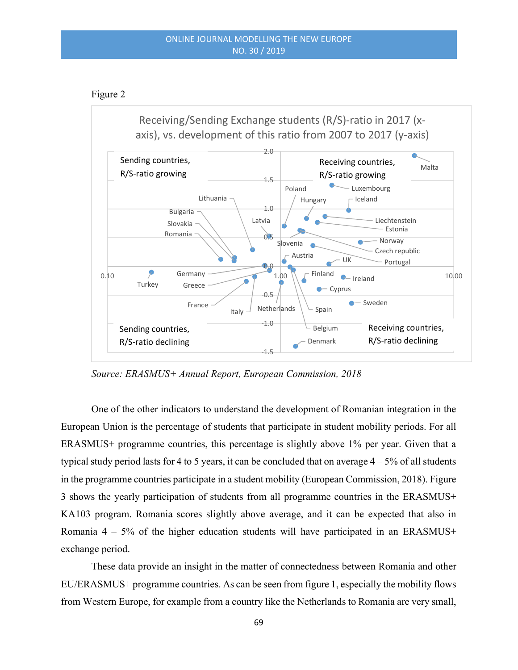# Figure 2



Source: ERASMUS+ Annual Report, European Commission, 2018

One of the other indicators to understand the development of Romanian integration in the European Union is the percentage of students that participate in student mobility periods. For all ERASMUS+ programme countries, this percentage is slightly above 1% per year. Given that a typical study period lasts for 4 to 5 years, it can be concluded that on average  $4 - 5\%$  of all students in the programme countries participate in a student mobility (European Commission, 2018). Figure 3 shows the yearly participation of students from all programme countries in the ERASMUS+ KA103 program. Romania scores slightly above average, and it can be expected that also in Romania  $4 - 5\%$  of the higher education students will have participated in an ERASMUS+ exchange period.

These data provide an insight in the matter of connectedness between Romania and other EU/ERASMUS+ programme countries. As can be seen from figure 1, especially the mobility flows from Western Europe, for example from a country like the Netherlands to Romania are very small,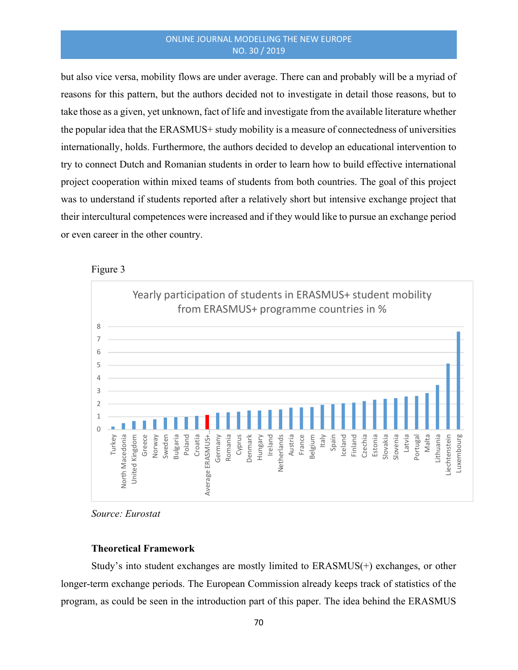but also vice versa, mobility flows are under average. There can and probably will be a myriad of reasons for this pattern, but the authors decided not to investigate in detail those reasons, but to take those as a given, yet unknown, fact of life and investigate from the available literature whether the popular idea that the ERASMUS+ study mobility is a measure of connectedness of universities internationally, holds. Furthermore, the authors decided to develop an educational intervention to try to connect Dutch and Romanian students in order to learn how to build effective international project cooperation within mixed teams of students from both countries. The goal of this project was to understand if students reported after a relatively short but intensive exchange project that their intercultural competences were increased and if they would like to pursue an exchange period or even career in the other country.





Source: Eurostat

#### Theoretical Framework

Study's into student exchanges are mostly limited to ERASMUS(+) exchanges, or other longer-term exchange periods. The European Commission already keeps track of statistics of the program, as could be seen in the introduction part of this paper. The idea behind the ERASMUS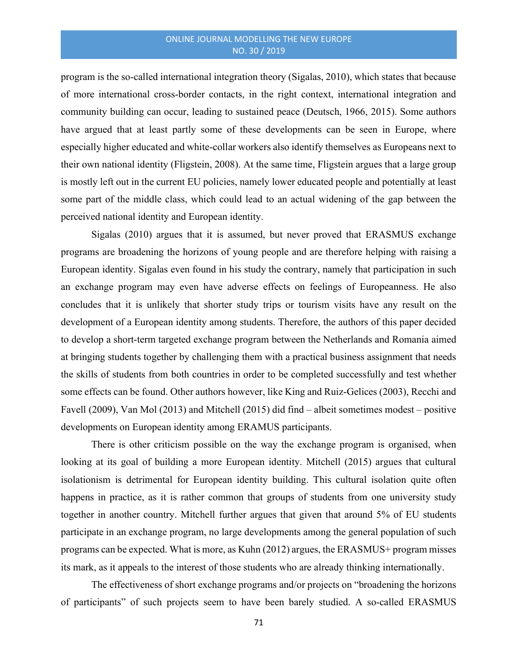program is the so-called international integration theory (Sigalas, 2010), which states that because of more international cross-border contacts, in the right context, international integration and community building can occur, leading to sustained peace (Deutsch, 1966, 2015). Some authors have argued that at least partly some of these developments can be seen in Europe, where especially higher educated and white-collar workers also identify themselves as Europeans next to their own national identity (Fligstein, 2008). At the same time, Fligstein argues that a large group is mostly left out in the current EU policies, namely lower educated people and potentially at least some part of the middle class, which could lead to an actual widening of the gap between the perceived national identity and European identity.

Sigalas (2010) argues that it is assumed, but never proved that ERASMUS exchange programs are broadening the horizons of young people and are therefore helping with raising a European identity. Sigalas even found in his study the contrary, namely that participation in such an exchange program may even have adverse effects on feelings of Europeanness. He also concludes that it is unlikely that shorter study trips or tourism visits have any result on the development of a European identity among students. Therefore, the authors of this paper decided to develop a short-term targeted exchange program between the Netherlands and Romania aimed at bringing students together by challenging them with a practical business assignment that needs the skills of students from both countries in order to be completed successfully and test whether some effects can be found. Other authors however, like King and Ruiz‐Gelices (2003), Recchi and Favell (2009), Van Mol (2013) and Mitchell (2015) did find – albeit sometimes modest – positive developments on European identity among ERAMUS participants.

There is other criticism possible on the way the exchange program is organised, when looking at its goal of building a more European identity. Mitchell (2015) argues that cultural isolationism is detrimental for European identity building. This cultural isolation quite often happens in practice, as it is rather common that groups of students from one university study together in another country. Mitchell further argues that given that around 5% of EU students participate in an exchange program, no large developments among the general population of such programs can be expected. What is more, as Kuhn (2012) argues, the ERASMUS+ program misses its mark, as it appeals to the interest of those students who are already thinking internationally.

The effectiveness of short exchange programs and/or projects on "broadening the horizons of participants" of such projects seem to have been barely studied. A so-called ERASMUS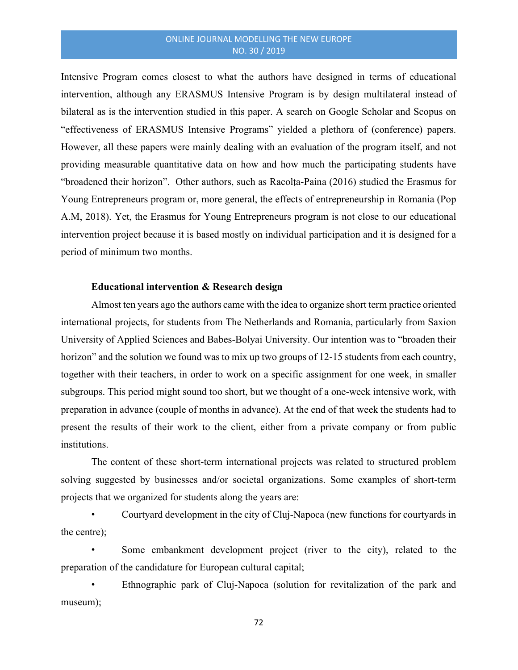Intensive Program comes closest to what the authors have designed in terms of educational intervention, although any ERASMUS Intensive Program is by design multilateral instead of bilateral as is the intervention studied in this paper. A search on Google Scholar and Scopus on "effectiveness of ERASMUS Intensive Programs" yielded a plethora of (conference) papers. However, all these papers were mainly dealing with an evaluation of the program itself, and not providing measurable quantitative data on how and how much the participating students have "broadened their horizon". Other authors, such as Racolța-Paina (2016) studied the Erasmus for Young Entrepreneurs program or, more general, the effects of entrepreneurship in Romania (Pop A.M, 2018). Yet, the Erasmus for Young Entrepreneurs program is not close to our educational intervention project because it is based mostly on individual participation and it is designed for a period of minimum two months.

#### Educational intervention & Research design

Almost ten years ago the authors came with the idea to organize short term practice oriented international projects, for students from The Netherlands and Romania, particularly from Saxion University of Applied Sciences and Babes-Bolyai University. Our intention was to "broaden their horizon" and the solution we found was to mix up two groups of 12-15 students from each country, together with their teachers, in order to work on a specific assignment for one week, in smaller subgroups. This period might sound too short, but we thought of a one-week intensive work, with preparation in advance (couple of months in advance). At the end of that week the students had to present the results of their work to the client, either from a private company or from public institutions.

The content of these short-term international projects was related to structured problem solving suggested by businesses and/or societal organizations. Some examples of short-term projects that we organized for students along the years are:

• Courtyard development in the city of Cluj-Napoca (new functions for courtyards in the centre);

Some embankment development project (river to the city), related to the preparation of the candidature for European cultural capital;

• Ethnographic park of Cluj-Napoca (solution for revitalization of the park and museum);

72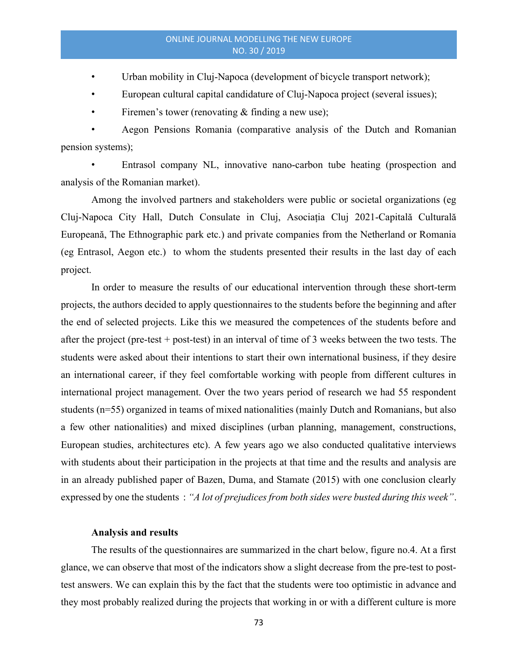- Urban mobility in Cluj-Napoca (development of bicycle transport network);
- European cultural capital candidature of Cluj-Napoca project (several issues);
- Firemen's tower (renovating  $&$  finding a new use);

• Aegon Pensions Romania (comparative analysis of the Dutch and Romanian pension systems);

• Entrasol company NL, innovative nano-carbon tube heating (prospection and analysis of the Romanian market).

Among the involved partners and stakeholders were public or societal organizations (eg Cluj-Napoca City Hall, Dutch Consulate in Cluj, Asociația Cluj 2021-Capitală Culturală Europeană, The Ethnographic park etc.) and private companies from the Netherland or Romania (eg Entrasol, Aegon etc.) to whom the students presented their results in the last day of each project.

In order to measure the results of our educational intervention through these short-term projects, the authors decided to apply questionnaires to the students before the beginning and after the end of selected projects. Like this we measured the competences of the students before and after the project (pre-test + post-test) in an interval of time of 3 weeks between the two tests. The students were asked about their intentions to start their own international business, if they desire an international career, if they feel comfortable working with people from different cultures in international project management. Over the two years period of research we had 55 respondent students (n=55) organized in teams of mixed nationalities (mainly Dutch and Romanians, but also a few other nationalities) and mixed disciplines (urban planning, management, constructions, European studies, architectures etc). A few years ago we also conducted qualitative interviews with students about their participation in the projects at that time and the results and analysis are in an already published paper of Bazen, Duma, and Stamate (2015) with one conclusion clearly expressed by one the students : "A lot of prejudices from both sides were busted during this week".

## Analysis and results

The results of the questionnaires are summarized in the chart below, figure no.4. At a first glance, we can observe that most of the indicators show a slight decrease from the pre-test to posttest answers. We can explain this by the fact that the students were too optimistic in advance and they most probably realized during the projects that working in or with a different culture is more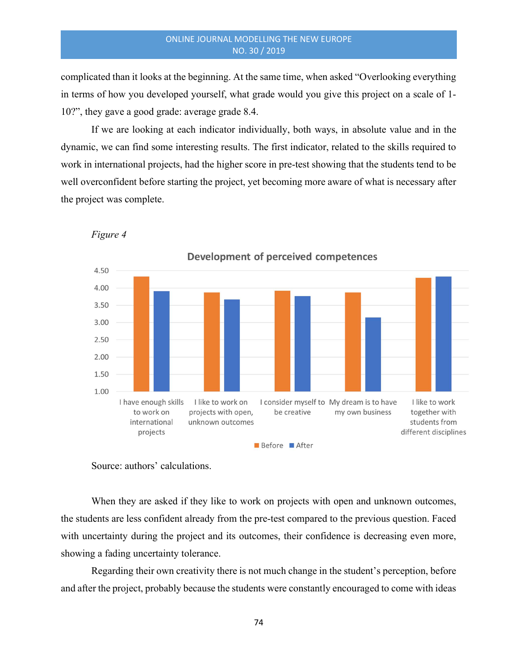complicated than it looks at the beginning. At the same time, when asked "Overlooking everything in terms of how you developed yourself, what grade would you give this project on a scale of 1- 10?", they gave a good grade: average grade 8.4.

If we are looking at each indicator individually, both ways, in absolute value and in the dynamic, we can find some interesting results. The first indicator, related to the skills required to work in international projects, had the higher score in pre-test showing that the students tend to be well overconfident before starting the project, yet becoming more aware of what is necessary after the project was complete.



Figure 4

Source: authors' calculations.

When they are asked if they like to work on projects with open and unknown outcomes, the students are less confident already from the pre-test compared to the previous question. Faced with uncertainty during the project and its outcomes, their confidence is decreasing even more, showing a fading uncertainty tolerance.

Regarding their own creativity there is not much change in the student's perception, before and after the project, probably because the students were constantly encouraged to come with ideas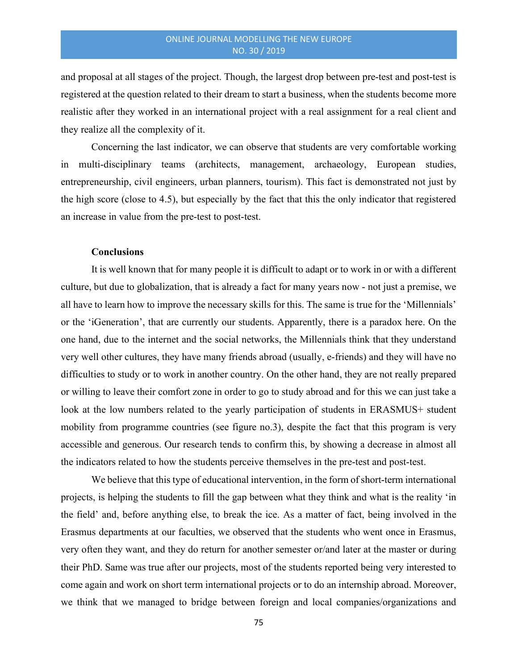and proposal at all stages of the project. Though, the largest drop between pre-test and post-test is registered at the question related to their dream to start a business, when the students become more realistic after they worked in an international project with a real assignment for a real client and they realize all the complexity of it.

Concerning the last indicator, we can observe that students are very comfortable working in multi-disciplinary teams (architects, management, archaeology, European studies, entrepreneurship, civil engineers, urban planners, tourism). This fact is demonstrated not just by the high score (close to 4.5), but especially by the fact that this the only indicator that registered an increase in value from the pre-test to post-test.

# **Conclusions**

It is well known that for many people it is difficult to adapt or to work in or with a different culture, but due to globalization, that is already a fact for many years now - not just a premise, we all have to learn how to improve the necessary skills for this. The same is true for the 'Millennials' or the 'iGeneration', that are currently our students. Apparently, there is a paradox here. On the one hand, due to the internet and the social networks, the Millennials think that they understand very well other cultures, they have many friends abroad (usually, e-friends) and they will have no difficulties to study or to work in another country. On the other hand, they are not really prepared or willing to leave their comfort zone in order to go to study abroad and for this we can just take a look at the low numbers related to the yearly participation of students in ERASMUS+ student mobility from programme countries (see figure no.3), despite the fact that this program is very accessible and generous. Our research tends to confirm this, by showing a decrease in almost all the indicators related to how the students perceive themselves in the pre-test and post-test.

We believe that this type of educational intervention, in the form of short-term international projects, is helping the students to fill the gap between what they think and what is the reality 'in the field' and, before anything else, to break the ice. As a matter of fact, being involved in the Erasmus departments at our faculties, we observed that the students who went once in Erasmus, very often they want, and they do return for another semester or/and later at the master or during their PhD. Same was true after our projects, most of the students reported being very interested to come again and work on short term international projects or to do an internship abroad. Moreover, we think that we managed to bridge between foreign and local companies/organizations and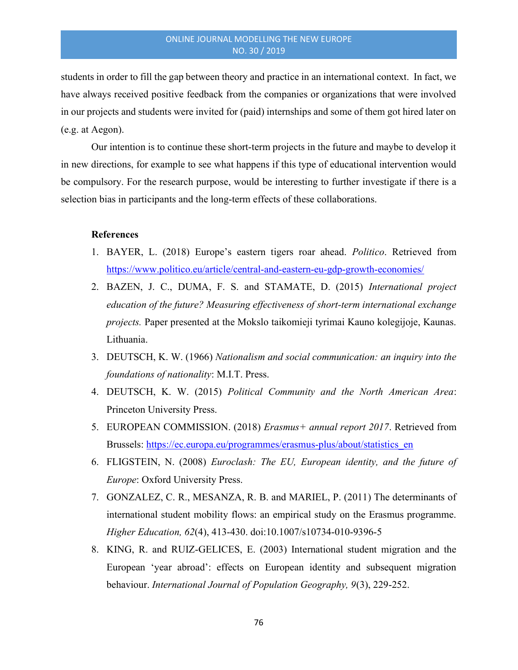students in order to fill the gap between theory and practice in an international context. In fact, we have always received positive feedback from the companies or organizations that were involved in our projects and students were invited for (paid) internships and some of them got hired later on (e.g. at Aegon).

Our intention is to continue these short-term projects in the future and maybe to develop it in new directions, for example to see what happens if this type of educational intervention would be compulsory. For the research purpose, would be interesting to further investigate if there is a selection bias in participants and the long-term effects of these collaborations.

# References

- 1. BAYER, L. (2018) Europe's eastern tigers roar ahead. Politico. Retrieved from https://www.politico.eu/article/central-and-eastern-eu-gdp-growth-economies/
- 2. BAZEN, J. C., DUMA, F. S. and STAMATE, D. (2015) International project education of the future? Measuring effectiveness of short-term international exchange projects. Paper presented at the Mokslo taikomieji tyrimai Kauno kolegijoje, Kaunas. Lithuania.
- 3. DEUTSCH, K. W. (1966) Nationalism and social communication: an inquiry into the foundations of nationality: M.I.T. Press.
- 4. DEUTSCH, K. W. (2015) Political Community and the North American Area: Princeton University Press.
- 5. EUROPEAN COMMISSION. (2018) *Erasmus+ annual report 2017*. Retrieved from Brussels: https://ec.europa.eu/programmes/erasmus-plus/about/statistics\_en
- 6. FLIGSTEIN, N. (2008) Euroclash: The EU, European identity, and the future of Europe: Oxford University Press.
- 7. GONZALEZ, C. R., MESANZA, R. B. and MARIEL, P. (2011) The determinants of international student mobility flows: an empirical study on the Erasmus programme. Higher Education, 62(4), 413-430. doi:10.1007/s10734-010-9396-5
- 8. KING, R. and RUIZ‐GELICES, E. (2003) International student migration and the European 'year abroad': effects on European identity and subsequent migration behaviour. International Journal of Population Geography, 9(3), 229-252.